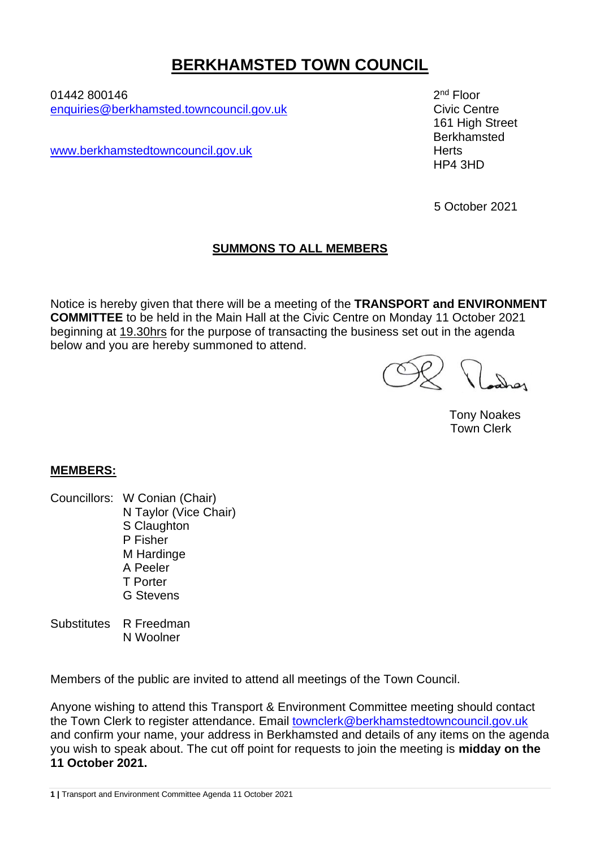## **BERKHAMSTED TOWN COUNCIL**

01442 800146 2 [enquiries@berkhamsted.towncouncil.gov.uk](mailto:enquiries@berkhamsted.towncouncil.gov.uk) Civic Centre

[www.berkhamstedtowncouncil.gov.uk](http://www.berkhamstedtowncouncil.gov.uk/) herts

2<sup>nd</sup> Floor 161 High Street Berkhamsted HP4 3HD

5 October 2021

## **SUMMONS TO ALL MEMBERS**

Notice is hereby given that there will be a meeting of the **TRANSPORT and ENVIRONMENT COMMITTEE** to be held in the Main Hall at the Civic Centre on Monday 11 October 2021 beginning at 19.30hrs for the purpose of transacting the business set out in the agenda below and you are hereby summoned to attend.

Tony Noakes Town Clerk

## **MEMBERS:**

- Councillors: W Conian (Chair) N Taylor (Vice Chair) S Claughton P Fisher M Hardinge A Peeler T Porter G Stevens
- Substitutes R Freedman N Woolner

Members of the public are invited to attend all meetings of the Town Council.

Anyone wishing to attend this Transport & Environment Committee meeting should contact the Town Clerk to register attendance. Email [townclerk@berkhamstedtowncouncil.gov.uk](mailto:townclerk@berkhamstedtowncouncil.gov.uk) and confirm your name, your address in Berkhamsted and details of any items on the agenda you wish to speak about. The cut off point for requests to join the meeting is **midday on the 11 October 2021.**